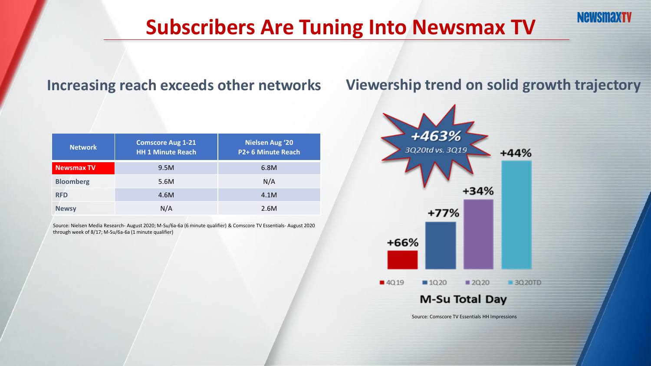## **Subscribers Are Tuning Into Newsmax TV**

| <b>Network</b>    | <b>Comscore Aug 1-21</b><br><b>HH 1 Minute Reach</b> | <b>Nielsen Aug '20</b><br>P2+6 Minute Reach |
|-------------------|------------------------------------------------------|---------------------------------------------|
| <b>Newsmax TV</b> | 9.5M                                                 | 6.8M                                        |
| <b>Bloomberg</b>  | 5.6M                                                 | N/A                                         |
| <b>RFD</b>        | 4.6M                                                 | 4.1M                                        |
| <b>Newsy</b>      | N/A                                                  | 2.6M                                        |

Source: Nielsen Media Research- August 2020; M-Su/6a-6a (6 minute qualifier) & Comscore TV Essentials- August 2020 through week of 8/17; M-Su/6a-6a (1 minute qualifier)

#### Increasing reach exceeds other networks Viewership trend on solid growth trajectory



Source: Comscore TV Essentials HH Impressions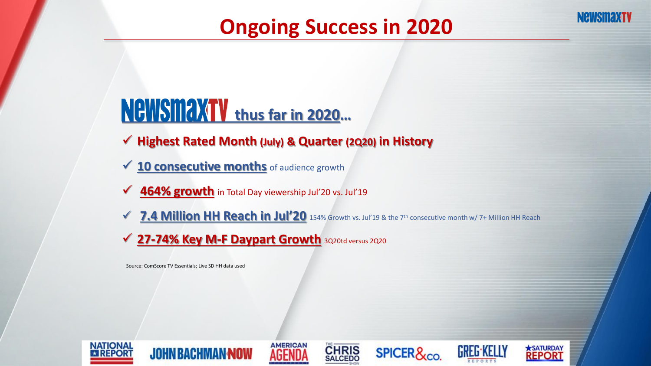## **Ongoing Success in 2020**

# **NeWSMAXTV** thus far in 2020...

- ✓ **Highest Rated Month (July) & Quarter (2Q20) in History**
- **✓ 10 consecutive months** of audience growth
- **✓ 464% growth** in Total Day viewership Jul'20 vs. Jul'19
- **✓ 7.4 Million HH Reach in Jul'20** 154% Growth vs. Jul'19 & the 7<sup>th</sup> consecutive month w/ 7+ Million HH Reach
- ✓ **27-74% Key M-F Daypart Growth** 3Q20td versus 2Q20

Source: ComScore TV Essentials; Live SD HH data used













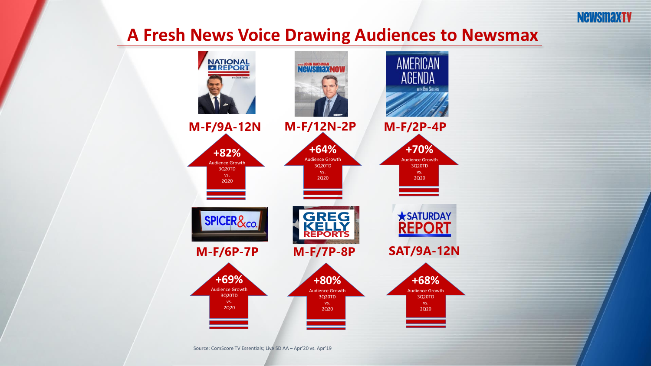

#### **A Fresh News Voice Drawing Audiences to Newsmax**



Source: ComScore TV Essentials; Live SD AA – Apr'20 vs. Apr'19